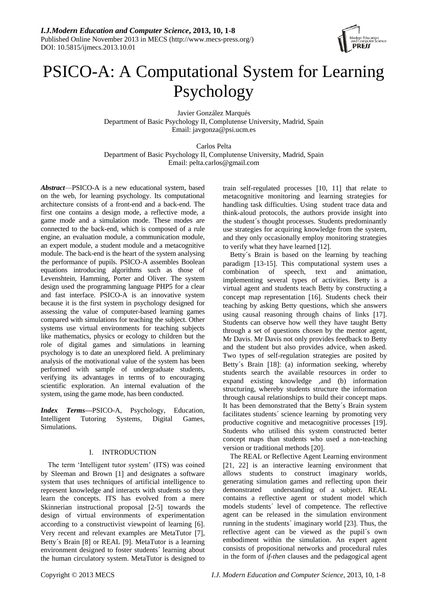

# PSICO-A: A Computational System for Learning Psychology

Javier González Marqués Department of Basic Psychology II, Complutense University, Madrid, Spain Email: javgonza@psi.ucm.es

Carlos Pelta Department of Basic Psychology II, Complutense University, Madrid, Spain Email: pelta.carlos@gmail.com

*Abstract*—PSICO-A is a new educational system, based on the web, for learning psychology. Its computational architecture consists of a front-end and a back-end. The first one contains a design mode, a reflective mode, a game mode and a simulation mode. These modes are connected to the back-end, which is composed of a rule engine, an evaluation module, a communication module, an expert module, a student module and a metacognitive module. The back-end is the heart of the system analysing the performance of pupils. PSICO-A assembles Boolean equations introducing algorithms such as those of Levenshtein, Hamming, Porter and Oliver. The system design used the programming language PHP5 for a clear and fast interface. PSICO-A is an innovative system because it is the first system in psychology designed for assessing the value of computer-based learning games compared with simulations for teaching the subject. Other systems use virtual environments for teaching subjects like mathematics, physics or ecology to children but the role of digital games and simulations in learning psychology is to date an unexplored field. A preliminary analysis of the motivational value of the system has been performed with sample of undergraduate students, verifying its advantages in terms of to encouraging scientific exploration. An internal evaluation of the system, using the game mode, has been conducted.

*Index Terms***—**PSICO-A, Psychology, Education, Intelligent Tutoring Systems, Digital Games, Simulations.

## I. INTRODUCTION

The term "Intelligent tutor system" (ITS) was coined by Sleeman and Brown  $[1]$  and designates a software system that uses techniques of artificial intelligence to represent knowledge and interacts with students so they learn the concepts. ITS has evolved from a mere Skinnerian instructional proposal [2-5] towards the design of virtual environments of experimentation according to a constructivist viewpoint of learning [6]. Very recent and relevant examples are MetaTutor [7], Betty  $\S$  Brain [8] or REAL [9]. MetaTutor is a learning environment designed to foster students´ learning about the human circulatory system. MetaTutor is designed to

train self-regulated processes [10, 11] that relate to metacognitive monitoring and learning strategies for handling task difficulties. Using student trace data and think-aloud protocols, the authors provide insight into the student  $\acute{\text{s}}$  thought processes. Students predominantly use strategies for acquiring knowledge from the system, and they only occasionally employ monitoring strategies to verify what they have learned [12].

Betty's Brain is based on the learning by teaching paradigm [13-15]. This computational system uses a combination of speech, text and animation, implementing several types of activities. Betty is a virtual agent and students teach Betty by constructing a concept map representation [16]. Students check their teaching by asking Betty questions, which she answers using causal reasoning through chains of links [17]. Students can observe how well they have taught Betty through a set of questions chosen by the mentor agent, Mr Davis. Mr Davis not only provides feedback to Betty and the student but also provides advice, when asked. Two types of self-regulation strategies are posited by Betty  $\acute{s}$  Brain [18]: (a) information seeking, whereby students search the available resources in order to expand existing knowledge ,and (b) information structuring, whereby students structure the information through causal relationships to build their concept maps. It has been demonstrated that the Betty  $\acute{\text{s}}$  Brain system facilitates students 'science learning by promoting very productive cognitive and metacognitive processes [19]. Students who utilised this system constructed better concept maps than students who used a non-teaching version or traditional methods [20].

The REAL or Reflective Agent Learning environment [21, 22] is an interactive learning environment that allows students to construct imaginary worlds, generating simulation games and reflecting upon their demonstrated understanding of a subject. REAL contains a reflective agent or student model which models students´ level of competence. The reflective agent can be released in the simulation environment running in the students 'imaginary world [23]. Thus, the reflective agent can be viewed as the pupil's own embodiment within the simulation. An expert agent consists of propositional networks and procedural rules in the form of *if-then* clauses and the pedagogical agent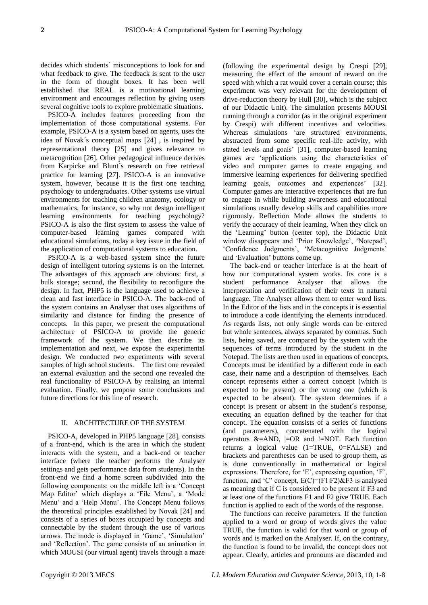decides which students 'misconceptions to look for and what feedback to give. The feedback is sent to the user in the form of thought boxes. It has been well established that REAL is a motivational learning environment and encourages reflection by giving users several cognitive tools to explore problematic situations.

PSICO-A includes features proceeding from the implementation of those computational systems. For example, PSICO-A is a system based on agents, uses the idea of Novak $\acute{\text{s}}$  conceptual maps  $[24]$ , is inspired by representational theory [25] and gives relevance to metacognition [26]. Other pedagogical influence derives from Karpicke and Blunt  $\acute{\text{s}}$  research on free retrieval practice for learning [27]. PSICO-A is an innovative system, however, because it is the first one teaching psychology to undergraduates. Other systems use virtual environments for teaching children anatomy, ecology or mathematics, for instance, so why not design intelligent learning environments for teaching psychology? PSICO-A is also the first system to assess the value of computer-based learning games compared with educational simulations, today a key issue in the field of the application of computational systems to education.

PSICO-A is a web-based system since the future design of intelligent tutoring systems is on the Internet. The advantages of this approach are obvious: first, a bulk storage; second, the flexibility to reconfigure the design. In fact, PHP5 is the language used to achieve a clean and fast interface in PSICO-A. The back-end of the system contains an Analyser that uses algorithms of similarity and distance for finding the presence of concepts. In this paper, we present the computational architecture of PSICO-A to provide the generic framework of the system. We then describe its implementation and next, we expose the experimental design. We conducted two experiments with several samples of high school students. The first one revealed an external evaluation and the second one revealed the real functionality of PSICO-A by realising an internal evaluation. Finally, we propose some conclusions and future directions for this line of research.

### II. ARCHITECTURE OF THE SYSTEM

PSICO-A, developed in PHP5 language [28], consists of a front-end, which is the area in which the student interacts with the system, and a back-end or teacher interface (where the teacher performs the Analyser settings and gets performance data from students). In the front-end we find a home screen subdivided into the following components: on the middle left is a "Concept Map Editor' which displays a 'File Menu', a 'Mode Menu" and a "Help Menu". The Concept Menu follows the theoretical principles established by Novak [24] and consists of a series of boxes occupied by concepts and connectable by the student through the use of various arrows. The mode is displayed in "Game", "Simulation" and "Reflection". The game consists of an animation in which MOUSI (our virtual agent) travels through a maze

(following the experimental design by Crespi 29, measuring the effect of the amount of reward on the speed with which a rat would cover a certain course; this experiment was very relevant for the development of drive-reduction theory by Hull [30], which is the subject of our Didactic Unit). The simulation presents MOUSI running through a corridor (as in the original experiment by Crespi) with different incentives and velocities. Whereas simulations 'are structured environments, abstracted from some specific real-life activity, with stated levels and goals' [31], computer-based learning games are "applications using the characteristics of video and computer games to create engaging and immersive learning experiences for delivering specified learning goals, outcomes and experiences' [32]. Computer games are interactive experiences that are fun to engage in while building awareness and educational simulations usually develop skills and capabilities more rigorously. Reflection Mode allows the students to verify the accuracy of their learning. When they click on the "Learning" button (center top), the Didactic Unit window disappears and 'Prior Knowledge', 'Notepad', 'Confidence Judgments', 'Metacognitive Judgments' and "Evaluation" buttons come up.

The back-end or teacher interface is at the heart of how our computational system works. Its core is a student performance Analyser that allows the interpretation and verification of their texts in natural language. The Analyser allows them to enter word lists. In the Editor of the lists and in the concepts it is essential to introduce a code identifying the elements introduced. As regards lists, not only single words can be entered but whole sentences, always separated by commas. Such lists, being saved, are compared by the system with the sequences of terms introduced by the student in the Notepad. The lists are then used in equations of concepts. Concepts must be identified by a different code in each case, their name and a description of themselves. Each concept represents either a correct concept (which is expected to be present) or the wrong one (which is expected to be absent). The system determines if a concept is present or absent in the student  $\acute{s}$  response, executing an equation defined by the teacher for that concept. The equation consists of a series of functions (and parameters), concatenated with the logical operators  $&=AND$ ,  $|=OR$  and  $!=NOT$ . Each function returns a logical value (1=TRUE, 0=FALSE) and brackets and parentheses can be used to group them, as is done conventionally in mathematical or logical expressions. Therefore, for 'E', expressing equation, 'F', function, and 'C' concept,  $E(C)=(F1|F2)\&F3$  is analysed as meaning that if C is considered to be present if F3 and at least one of the functions F1 and F2 give TRUE. Each function is applied to each of the words of the response.

The functions can receive parameters. If the function applied to a word or group of words gives the value TRUE, the function is valid for that word or group of words and is marked on the Analyser. If, on the contrary, the function is found to be invalid, the concept does not appear. Clearly, articles and pronouns are discarded and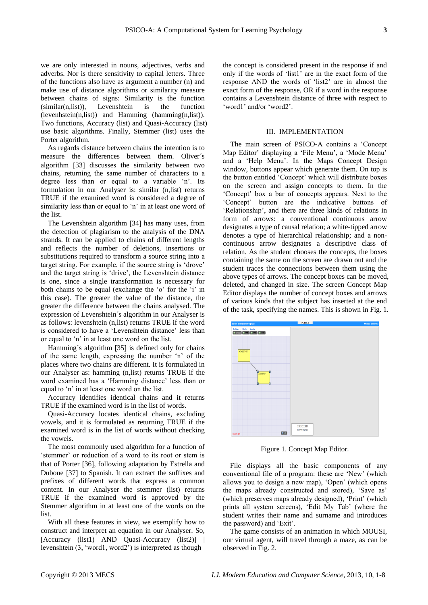we are only interested in nouns, adjectives, verbs and adverbs. Nor is there sensitivity to capital letters. Three of the functions also have as argument a number (n) and make use of distance algorithms or similarity measure between chains of signs: Similarity is the function (similar(n,list)), Levenshtein is the function (levenhstein(n,list)) and Hamming (hamming(n,list)). Two functions, Accuracy (list) and Quasi-Accuracy (list) use basic algorithms. Finally, Stemmer (list) uses the Porter algorithm.

As regards distance between chains the intention is to measure the differences between them. Oliver's algorithm [33] discusses the similarity between two chains, returning the same number of characters to a degree less than or equal to a variable "n". Its formulation in our Analyser is: similar (n,list) returns TRUE if the examined word is considered a degree of similarity less than or equal to 'n' in at least one word of the list.

The Levenshtein algorithm [34] has many uses, from the detection of plagiarism to the analysis of the DNA strands. It can be applied to chains of different lengths and reflects the number of deletions, insertions or substitutions required to transform a source string into a target string. For example, if the source string is "drove" and the target string is "drive", the Levenshtein distance is one, since a single transformation is necessary for both chains to be equal (exchange the 'o' for the 'i' in this case). The greater the value of the distance, the greater the difference between the chains analysed. The expression of Levenshtein  $\acute{\text{s}}$  algorithm in our Analyser is as follows: levenshtein (n,list) returns TRUE if the word is considered to have a 'Levenshtein distance' less than or equal to "n" in at least one word on the list.

Hamming  $\acute{s}$  algorithm  $[35]$  is defined only for chains of the same length, expressing the number "n" of the places where two chains are different. It is formulated in our Analyser as: hamming (n,list) returns TRUE if the word examined has a 'Hamming distance' less than or equal to "n" in at least one word on the list.

Accuracy identifies identical chains and it returns TRUE if the examined word is in the list of words.

Quasi-Accuracy locates identical chains, excluding vowels, and it is formulated as returning TRUE if the examined word is in the list of words without checking the vowels.

The most commonly used algorithm for a function of 'stemmer' or reduction of a word to its root or stem is that of Porter [36], following adaptation by Estrella and Duboue [37] to Spanish. It can extract the suffixes and prefixes of different words that express a common content. In our Analyser the stemmer (list) returns TRUE if the examined word is approved by the Stemmer algorithm in at least one of the words on the list.

With all these features in view, we exemplify how to construct and interpret an equation in our Analyser. So, Accuracy (list1) AND Quasi-Accuracy (list2) | levenshtein (3, "word1, word2") is interpreted as though

the concept is considered present in the response if and only if the words of "list1" are in the exact form of the response AND the words of "list2" are in almost the exact form of the response, OR if a word in the response contains a Levenshtein distance of three with respect to 'word1' and/or 'word2'.

## III. IMPLEMENTATION

The main screen of PSICO-A contains a "Concept Map Editor' displaying a 'File Menu', a 'Mode Menu' and a "Help Menu". In the Maps Concept Design window, buttons appear which generate them. On top is the button entitled "Concept" which will distribute boxes on the screen and assign concepts to them. In the "Concept" box a bar of concepts appears. Next to the "Concept" button are the indicative buttons of "Relationship", and there are three kinds of relations in form of arrows: a conventional continuous arrow designates a type of causal relation; a white-tipped arrow denotes a type of hierarchical relationship; and a noncontinuous arrow designates a descriptive class of relation. As the student chooses the concepts, the boxes containing the same on the screen are drawn out and the student traces the connections between them using the above types of arrows. The concept boxes can be moved, deleted, and changed in size. The screen Concept Map Editor displays the number of concept boxes and arrows of various kinds that the subject has inserted at the end of the task, specifying the names. This is shown in Fig. 1.



Figure 1. Concept Map Editor.

File displays all the basic components of any conventional file of a program: these are "New" (which allows you to design a new map), "Open" (which opens the maps already constructed and stored), 'Save as' (which preserves maps already designed), "Print" (which prints all system screens), "Edit My Tab" (where the student writes their name and surname and introduces the password) and "Exit".

The game consists of an animation in which MOUSI, our virtual agent, will travel through a maze, as can be observed in Fig. 2.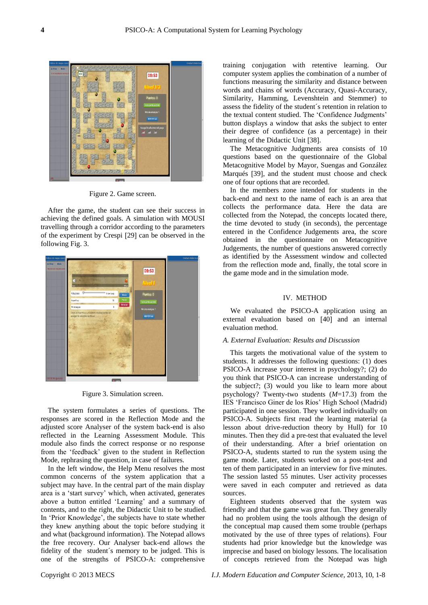

Figure 2. Game screen.

After the game, the student can see their success in achieving the defined goals. A simulation with MOUSI travelling through a corridor according to the parameters of the experiment by Crespi [29] can be observed in the following Fig. 3.



Figure 3. Simulation screen.

The system formulates a series of questions. The responses are scored in the Reflection Mode and the adjusted score Analyser of the system back-end is also reflected in the Learning Assessment Module. This module also finds the correct response or no response from the "feedback" given to the student in Reflection Mode, rephrasing the question, in case of failures.

In the left window, the Help Menu resolves the most common concerns of the system application that a subject may have. In the central part of the main display area is a "start survey" which, when activated, generates above a button entitled 'Learning' and a summary of contents, and to the right, the Didactic Unit to be studied. In "Prior Knowledge", the subjects have to state whether they knew anything about the topic before studying it and what (background information). The Notepad allows the free recovery. Our Analyser back-end allows the fidelity of the student  $\acute{\text{s}}$  memory to be judged. This is one of the strengths of PSICO-A: comprehensive

training conjugation with retentive learning. Our computer system applies the combination of a number of functions measuring the similarity and distance between words and chains of words (Accuracy, Quasi-Accuracy, Similarity, Hamming, Levenshtein and Stemmer) to assess the fidelity of the student  $\acute{\text{s}}$  retention in relation to the textual content studied. The "Confidence Judgments" button displays a window that asks the subject to enter their degree of confidence (as a percentage) in their learning of the Didactic Unit [38].

The Metacognitive Judgments area consists of 10 questions based on the questionnaire of the Global Metacognitive Model by Mayor, Suengas and González Marqués [39], and the student must choose and check one of four options that are recorded.

In the members zone intended for students in the back-end and next to the name of each is an area that collects the performance data. Here the data are collected from the Notepad, the concepts located there, the time devoted to study (in seconds), the percentage entered in the Confidence Judgements area, the score obtained in the questionnaire on Metacognitive Judgements, the number of questions answered correctly as identified by the Assessment window and collected from the reflection mode and, finally, the total score in the game mode and in the simulation mode.

# IV. METHOD

We evaluated the PSICO-A application using an external evaluation based on [40] and an internal evaluation method.

#### *A. External Evaluation: Results and Discussion*

This targets the motivational value of the system to students. It addresses the following questions: (1) does PSICO-A increase your interest in psychology?; (2) do you think that PSICO-A can increase understanding of the subject?; (3) would you like to learn more about psychology? Twenty-two students (*M*=17.3) from the IES "Francisco Giner de los Ríos" High School (Madrid) participated in one session. They worked individually on PSICO-A. Subjects first read the learning material (a lesson about drive-reduction theory by Hull) for 10 minutes. Then they did a pre-test that evaluated the level of their understanding. After a brief orientation on PSICO-A, students started to run the system using the game mode. Later, students worked on a post-test and ten of them participated in an interview for five minutes. The session lasted 55 minutes. User activity processes were saved in each computer and retrieved as data sources.

Eighteen students observed that the system was friendly and that the game was great fun. They generally had no problem using the tools although the design of the conceptual map caused them some trouble (perhaps motivated by the use of three types of relations). Four students had prior knowledge but the knowledge was imprecise and based on biology lessons. The localisation of concepts retrieved from the Notepad was high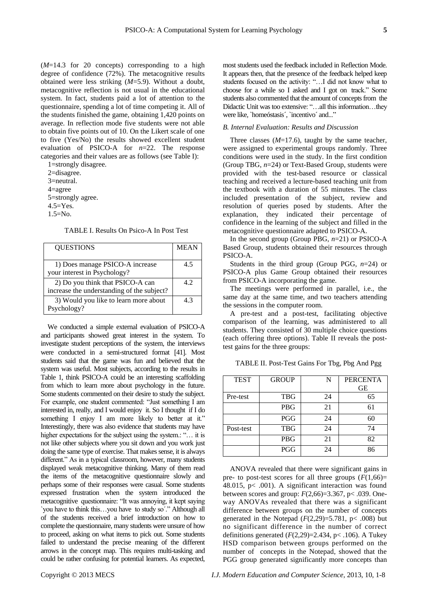(*M*=14.3 for 20 concepts) corresponding to a high degree of confidence (72%). The metacognitive results obtained were less striking (*M*=5.9). Without a doubt, metacognitive reflection is not usual in the educational system. In fact, students paid a lot of attention to the questionnaire, spending a lot of time competing it. All of the students finished the game, obtaining 1,420 points on average. In reflection mode five students were not able to obtain five points out of 10. On the Likert scale of one to five (Yes/No) the results showed excellent student evaluation of PSICO-A for *n*=22. The response categories and their values are as follows (see Table I):

1=strongly disagree. 2=disagree. 3=neutral. 4=agree 5=strongly agree. 4.5=Yes. 1.5=No.

TABLE I. Results On Psico-A In Post Test

| <b>QUESTIONS</b>                                                               | <b>MEAN</b> |
|--------------------------------------------------------------------------------|-------------|
| 1) Does manage PSICO-A increase<br>your interest in Psychology?                | 45          |
| 2) Do you think that PSICO-A can<br>increase the understanding of the subject? | 4.2         |
| 3) Would you like to learn more about<br>Psychology?                           | 43          |

We conducted a simple external evaluation of PSICO-A and participants showed great interest in the system. To investigate student perceptions of the system, the interviews were conducted in a semi-structured format [41]. Most students said that the game was fun and believed that the system was useful. Most subjects, according to the results in Table 1, think PSICO-A could be an interesting scaffolding from which to learn more about psychology in the future. Some students commented on their desire to study the subject. For example, one student commented: "Just something I am interested in, really, and I would enjoy it. So I thought if I do something I enjoy I am more likely to better at it." Interestingly, there was also evidence that students may have higher expectations for the subject using the system.: "... it is not like other subjects where you sit down and you work just doing the same type of exercise. That makes sense, it is always different." As in a typical classroom, however, many students displayed weak metacognitive thinking. Many of them read the items of the metacognitive questionnaire slowly and perhaps some of their responses were casual. Some students expressed frustration when the system introduced the metacognitive questionnaire: "It was annoying, it kept saying `you have to think this…you have to study so´." Although all of the students received a brief introduction on how to complete the questionnaire, many students were unsure of how to proceed, asking on what items to pick out. Some students failed to understand the precise meaning of the different arrows in the concept map. This requires multi-tasking and could be rather confusing for potential learners. As expected,

most students used the feedback included in Reflection Mode. It appears then, that the presence of the feedback helped keep students focused on the activity: "…I did not know what to choose for a while so I asked and I got on track." Some students also commented that the amount of concepts from the Didactic Unit was too extensive: "…all this information…they were like, `home óstasis (`incentivo ´and..."

# *B. Internal Evaluation: Results and Discussion*

Three classes  $(M=17.6)$ , taught by the same teacher, were assigned to experimental groups randomly. Three conditions were used in the study. In the first condition (Group TBG, *n*=24) or Text-Based Group, students were provided with the test-based resource or classical teaching and received a lecture-based teaching unit from the textbook with a duration of 55 minutes. The class included presentation of the subject, review and resolution of queries posed by students. After the explanation, they indicated their percentage of confidence in the learning of the subject and filled in the metacognitive questionnaire adapted to PSICO-A.

In the second group (Group PBG, *n*=21) or PSICO-A Based Group, students obtained their resources through PSICO-A.

Students in the third group (Group PGG, *n*=24) or PSICO-A plus Game Group obtained their resources from PSICO-A incorporating the game.

The meetings were performed in parallel, i.e., the same day at the same time, and two teachers attending the sessions in the computer room.

A pre-test and a post-test, facilitating objective comparison of the learning, was administered to all students. They consisted of 30 multiple choice questions (each offering three options). Table II reveals the posttest gains for the three groups:

TABLE II. Post-Test Gains For Tbg, Pbg And Pgg

| <b>TEST</b> | <b>GROUP</b> | N  | <b>PERCENTA</b><br><b>GE</b> |
|-------------|--------------|----|------------------------------|
|             |              |    |                              |
| Pre-test    | <b>TBG</b>   | 24 | 65                           |
|             | PBG          | 21 | 61                           |
|             | <b>PGG</b>   | 24 | 60                           |
| Post-test   | <b>TBG</b>   | 24 | 74                           |
|             | <b>PBG</b>   | 21 | 82                           |
|             | <b>PGG</b>   | 24 | 86                           |

ANOVA revealed that there were significant gains in pre- to post-test scores for all three groups  $(F(1,66))$ = 48.015,  $p$ < .001). A significant interaction was found between scores and group:  $F(2,66)=3.367$ , p< .039. Oneway ANOVAs revealed that there was a significant difference between groups on the number of concepts generated in the Notepad  $(F(2,29)=5.781, p< .008)$  but no significant difference in the number of correct definitions generated (*F*(2,29)=2.434, p< .106). A Tukey HSD comparison between groups performed on the number of concepts in the Notepad, showed that the PGG group generated significantly more concepts than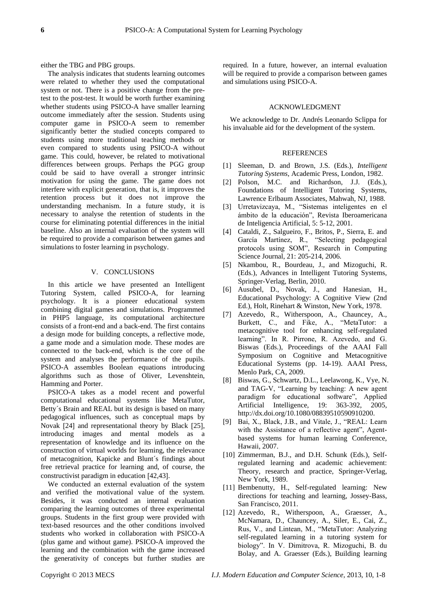either the TBG and PBG groups.

The analysis indicates that students learning outcomes were related to whether they used the computational system or not. There is a positive change from the pretest to the post-test. It would be worth further examining whether students using PSICO-A have smaller learning outcome immediately after the session. Students using computer game in PSICO-A seem to remember significantly better the studied concepts compared to students using more traditional teaching methods or even compared to students using PSICO-A without game. This could, however, be related to motivational differences between groups. Perhaps the PGG group could be said to have overall a stronger intrinsic motivation for using the game. The game does not interfere with explicit generation, that is, it improves the retention process but it does not improve the understanding mechanism. In a future study, it is necessary to analyse the retention of students in the course for eliminating potential differences in the initial baseline. Also an internal evaluation of the system will be required to provide a comparison between games and simulations to foster learning in psychology.

## V. CONCLUSIONS

In this article we have presented an Intelligent Tutoring System, called PSICO-A, for learning psychology. It is a pioneer educational system combining digital games and simulations. Programmed in PHP5 language, its computational architecture consists of a front-end and a back-end. The first contains a design mode for building concepts, a reflective mode, a game mode and a simulation mode. These modes are connected to the back-end, which is the core of the system and analyses the performance of the pupils. PSICO-A assembles Boolean equations introducing algorithms such as those of Oliver, Levenshtein, Hamming and Porter.

PSICO-A takes as a model recent and powerful computational educational systems like MetaTutor, Betty  $\acute{\text{s}}$  Brain and REAL but its design is based on many pedagogical influences, such as conceptual maps by Novak  $[24]$  and representational theory by Black  $[25]$ , introducing images and mental models as a representation of knowledge and its influence on the construction of virtual worlds for learning, the relevance of metacognition, Kapicke and Blunt  $\acute{\text{s}}$  findings about free retrieval practice for learning and, of course, the constructivist paradigm in education [42,43].

We conducted an external evaluation of the system and verified the motivational value of the system. Besides, it was conducted an internal evaluation comparing the learning outcomes of three experimental groups. Students in the first group were provided with text-based resources and the other conditions involved students who worked in collaboration with PSICO-A (plus game and without game). PSICO-A improved the learning and the combination with the game increased the generativity of concepts but further studies are

required. In a future, however, an internal evaluation will be required to provide a comparison between games and simulations using PSICO-A.

# ACKNOWLEDGMENT

We acknowledge to Dr. Andrés Leonardo Sclippa for his invaluable aid for the development of the system.

## **REFERENCES**

- [1] Sleeman, D. and Brown, J.S. (Eds.), *Intelligent Tutoring Systems*, Academic Press, London, 1982.
- [2] Polson, M.C. and Richardson, J.J. (Eds.), Foundations of Intelligent Tutoring Systems, Lawrence Erlbaum Associates, Mahwah, NJ, 1988.
- [3] Urretavizcaya, M., "Sistemas inteligentes en el ámbito de la educación", Revista Iberoamericana de Inteligencia Artificial, 5: 5-12, 2001.
- [4] Cataldi, Z., Salgueiro, F., Britos, P., Sierra, E. and García Martínez, R., "Selecting pedagogical protocols using SOM", Research in Computing Science Journal, 21: 205-214, 2006.
- [5] Nkambou, R., Bourdeau, J., and Mizoguchi, R. (Eds.), Advances in Intelligent Tutoring Systems, Springer-Verlag, Berlin, 2010.
- [6] Ausubel, D., Novak, J., and Hanesian, H., Educational Psychology: A Cognitive View (2nd Ed.), Holt, Rinehart & Winston, New York, 1978.
- [7] Azevedo, R., Witherspoon, A., Chauncey, A., Burkett, C., and Fike, A., "MetaTutor: a metacognitive tool for enhancing self-regulated learning". In R. Pirrone, R. Azevedo, and G. Biswas (Eds.), Proceedings of the AAAI Fall Symposium on Cognitive and Metacognitive Educational Systems (pp. 14-19). AAAI Press, Menlo Park, CA, 2009.
- [8] Biswas, G., Schwartz, D.L., Leelawong, K., Vye, N. and TAG-V, "Learning by teaching: A new agent paradigm for educational software", Applied Artificial Intelligence, 19: 363-392, 2005, [http://dx.doi.org/10.1080/08839510590910200.](http://dx.doi.org/10.1080/08839510590910200)
- [9] Bai, X., Black, J.B., and Vitale, J., "REAL: Learn with the Assistance of a reflective agent", Agentbased systems for human learning Conference, Hawaii, 2007.
- [10] Zimmerman, B.J., and D.H. Schunk (Eds.), Selfregulated learning and academic achievement: Theory, research and practice, Springer-Verlag, New York, 1989.
- [11] Bembenutty, H., Self-regulated learning: New directions for teaching and learning, Jossey-Bass, San Francisco, 2011.
- [12] Azevedo, R., Witherspoon, A., Graesser, A., McNamara, D., Chauncey, A., Siler, E., Cai, Z., Rus, V., and Lintean, M., "MetaTutor: Analyzing self-regulated learning in a tutoring system for biology". In V. Dimitrova, R. Mizoguchi, B. du Bolay, and A. Graesser (Eds.), Building learning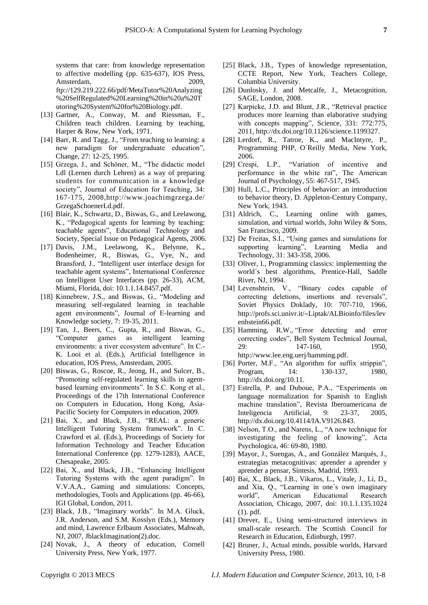systems that care: from knowledge representation to affective modelling (pp. 635-637), IOS Press, Amsterdam, 2009, [ftp://129.219.222.66/pdf/MetaTutor%20Analyzing](ftp://129.219.222.66/pdf/MetaTutor Analyzing SelfRegulated Learning in a Tutoring System for Biology.pdf) [%20SelfRegulated%20Learning%20in%20a%20T](ftp://129.219.222.66/pdf/MetaTutor Analyzing SelfRegulated Learning in a Tutoring System for Biology.pdf) [utoring%20System%20for%20Biology.pdf.](ftp://129.219.222.66/pdf/MetaTutor Analyzing SelfRegulated Learning in a Tutoring System for Biology.pdf)

- [13] Gartner, A., Conway, M. and Riessman, F., Children teach children. Learning by teaching, Harper & Row, New York, 1971.
- [14] Barr, R. and Tagg, J., "From teaching to learning: a new paradigm for undergraduate education", Change, 27: 12-25, 1995.
- [15] Grzega, J., and Schöner, M., "The didactic model Ldl (Lernen durch Lehren) as a way of preparing students for communication in a knowledge society", Journal of Education for Teaching, 34: 167-175, 2008,http://www.joachimgrzega.de/ GrzegaSchoenerLd.pdf.
- [16] Blair, K., Schwartz, D., Biswas, G., and Leelawong, K., "Pedagogical agents for learning by teaching: teachable agents", Educational Technology and Society, Special Issue on Pedagogical Agents, 2006.
- [17] Davis, J.M., Leelawong, K., Belynne, K., Bodenheimer, R., Biswas, G., Vye, N., and Bransford, J., "Intelligent user interface design for teachable agent systems", International Conference on Intelligent User Interfaces (pp. 26-33), ACM, Miami, Florida, doi: 10.1.1.14.8457.pdf.
- [18] Kinnebrew, J.S., and Biswas, G., "Modeling and measuring self-regulated learning in teachable agent environments", Journal of E-learning and Knowledge society, 7: 19-35, 2011.
- [19] Tan, J., Beers, C., Gupta, R., and Biswas, G., "Computer games as intelligent learning environments: a river ecosystem adventure". In C.- K. Looi et al. (Eds.), Artificial Intelligence in education, IOS Press, Amsterdam, 2005.
- [20] Biswas, G., Roscoe, R., Jeong, H., and Sulcer, B., "Promoting self-regulated learning skills in agentbased learning environments". In S.C. Kong et al., Proceedings of the 17th International Conference on Computers in Education, Hong Kong, Asia-Pacific Society for Computers in education, 2009.
- [21] Bai, X., and Black, J.B., "REAL: a generic Intelligent Tutoring System framework". In C. Crawford et al. (Eds.), Proceedings of Society for Information Technology and Teacher Education International Conference (pp. 1279-1283), AACE, Chesapeake, 2005.
- [22] Bai, X., and Black, J.B., "Enhancing Intelligent Tutoring Systems with the agent paradigm". In V.V.A.A., Gaming and simulations: Concepts, methodologies, Tools and Applications (pp. 46-66), IGI Global, London, 2011.
- [23] Black, J.B., "Imaginary worlds". In M.A. Gluck, J.R. Anderson, and S.M. Kosslyn (Eds.), Memory and mind, Lawrence Erlbaum Associates, Mahwah, NJ, 2007, JblackImagination(2).doc.
- [24] Novak, J., A theory of education, Cornell University Press, New York, 1977.
- [25] Black, J.B., Types of knowledge representation, CCTE Report, New York, Teachers College, Columbia University.
- [26] Dunlosky, J. and Metcalfe, J., Metacognition, SAGE, London, 2008.
- [27] Karpicke, J.D. and Blunt, J.R., "Retrieval practice produces more learning than elaborative studying with concepts mapping", Science, 331: 772:775, 2011, [http://dx.doi.org/10.1126/science.1199327.](http://dx.doi.org/10.1126/science.1199327)
- [28] Lerdorf, R., Tatroe, K., and MacIntyre, P., Programming PHP, O'Reilly Media, New York, 2006.
- [29] Crespi, L.P., "Variation of incentive and performance in the white rat", The American Journal of Psychology, 55: 467-517, 1945.
- [30] Hull, L.C., Principles of behavior: an introduction to behavior theory, D. Appleton-Century Company, New York, 1943.
- [31] Aldrich, C., Learning online with games, simulation, and virtual worlds, John Wiley & Sons, San Francisco, 2009.
- [32] De Freitas, S.I., "Using games and simulations for supporting learning", Learning Media and Technology, 31: 343-358, 2006.
- [33] Oliver, I., Programming classics: implementing the world´s best algorithms, Prentice-Hall, Saddle River, NJ, 1994.
- [34] Levenshtein, V., "Binary codes capable of correcting deletions, insertions and reversals", Soviet Physics Doklady, 10: 707-710, 1966, http://profs.sci.univr.it/~Liptak/ALBioinfo/files/lev enhstein66.pdf.
- [35] Hamming, R.W., "Error detecting and error correcting codes", Bell System Technical Journal, 29: 147-160, 1950, [http://www.lee.eng.uerj/hamming.pdf.](http://www.lee.eng.uerj/hamming.pdf)
- [36] Porter, M.F., "An algorithm for suffix strippin", Program, 14: 130-137, 1980, [http://dx.doi.org/10.11.](http://dx.doi.org/10.11)
- [37] Estrella, P. and Duboue, P.A., "Experiments on language normalization for Spanish to English machine translation", Revista Iberoamericana de Inteligencia Artificial, 9: 23-37, 2005, [http://dx.doi.org/10.4114/IA.V9126.843.](http://dx.doi.org/10.4114/IA.V9126.843)
- [38] Nelson, T.O., and Narens, L., "A new technique for investigating the feeling of knowing", Acta Psychologica, 46: 69-80, 1980.
- [39] Mayor, J., Suengas, A., and Gonz alez Marqués, J., estrategias metacognitivas: aprender a aprender y aprender a pensar, S íntesis, Madrid, 1993.
- [40] Bai, X., Black, J.B., Vikaros, L., Vitale, J., Li, D., and Xia, Q., "Learning in one  $\acute{s}$  own imaginary world", American Educational Research Association, Chicago, 2007, doi: 10.1.1.135.1024 (1). pdf.
- [41] Drever, E., Using semi-structured interviews in small-scale research. The Scottish Council for Research in Education, Edinburgh, 1997.
- [42] Bruner, J., Actual minds, possible worlds, Harvard University Press, 1980.